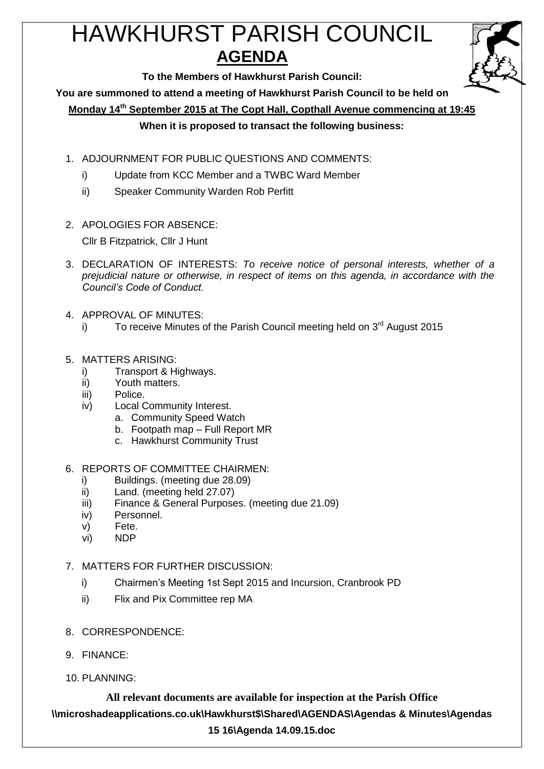# HAWKHURST PARISH COUNCIL **AGENDA**



**To the Members of Hawkhurst Parish Council:**

**You are summoned to attend a meeting of Hawkhurst Parish Council to be held on**

**Monday 14 th September 2015 at The Copt Hall, Copthall Avenue commencing at 19:45**

# **When it is proposed to transact the following business:**

- 1. ADJOURNMENT FOR PUBLIC QUESTIONS AND COMMENTS:
	- i) Update from KCC Member and a TWBC Ward Member
	- ii) Speaker Community Warden Rob Perfitt
- 2. APOLOGIES FOR ABSENCE:

Cllr B Fitzpatrick, Cllr J Hunt

- 3. DECLARATION OF INTERESTS: *To receive notice of personal interests, whether of a prejudicial nature or otherwise, in respect of items on this agenda, in accordance with the Council's Code of Conduct.*
- 4. APPROVAL OF MINUTES:
	- i) To receive Minutes of the Parish Council meeting held on  $3<sup>rd</sup>$  August 2015

#### 5. MATTERS ARISING:

- i) Transport & Highways.
- ii) Youth matters.
- iii) Police.
- iv) Local Community Interest.
	- a. Community Speed Watch
	- b. Footpath map Full Report MR
	- c. Hawkhurst Community Trust

#### 6. REPORTS OF COMMITTEE CHAIRMEN:

- i) Buildings. (meeting due 28.09)
- ii) Land. (meeting held 27.07)
- iii) Finance & General Purposes. (meeting due 21.09)
- iv) Personnel.
- v) Fete.
- vi) NDP

# 7. MATTERS FOR FURTHER DISCUSSION:

- i) Chairmen's Meeting 1st Sept 2015 and Incursion, Cranbrook PD
- ii) Flix and Pix Committee rep MA
- 8. CORRESPONDENCE:
- 9. FINANCE:
- 10. PLANNING: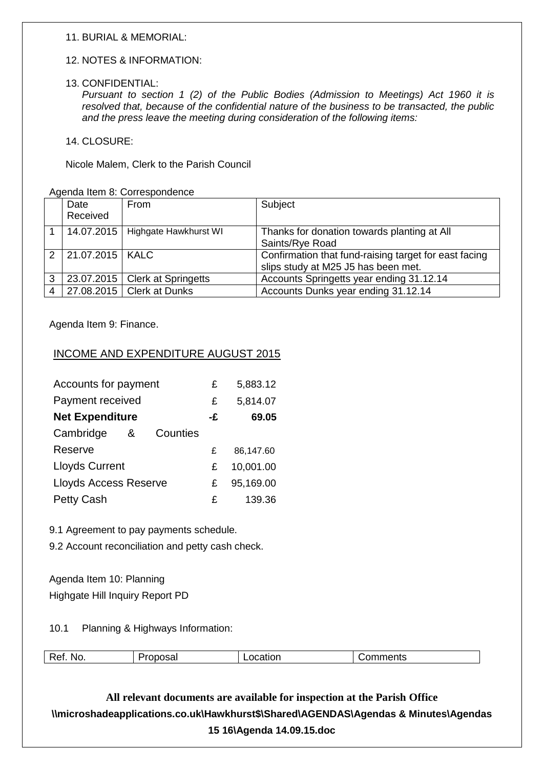#### 11. BURIAL & MEMORIAL:

#### 12. NOTES & INFORMATION:

#### 13. CONFIDENTIAL:

*Pursuant to section 1 (2) of the Public Bodies (Admission to Meetings) Act 1960 it is resolved that, because of the confidential nature of the business to be transacted, the public and the press leave the meeting during consideration of the following items:*

14. CLOSURE:

Nicole Malem, Clerk to the Parish Council

Agenda Item 8: Correspondence

|   | Date                | From                             | Subject                                               |
|---|---------------------|----------------------------------|-------------------------------------------------------|
|   | Received            |                                  |                                                       |
|   | 14.07.2015          | Highgate Hawkhurst WI            | Thanks for donation towards planting at All           |
|   |                     |                                  | Saints/Rye Road                                       |
|   | 2 21.07.2015   KALC |                                  | Confirmation that fund-raising target for east facing |
|   |                     |                                  | slips study at M25 J5 has been met.                   |
| 3 |                     | 23.07.2015   Clerk at Springetts | Accounts Springetts year ending 31.12.14              |
|   |                     | 27.08.2015   Clerk at Dunks      | Accounts Dunks year ending 31.12.14                   |

Agenda Item 9: Finance.

#### INCOME AND EXPENDITURE AUGUST 2015

| Accounts for payment         | £  | 5,883.12  |
|------------------------------|----|-----------|
| Payment received             | £  | 5,814.07  |
| <b>Net Expenditure</b>       | -£ | 69.05     |
| Cambridge<br>Counties<br>&   |    |           |
| Reserve                      | £  | 86,147.60 |
| <b>Lloyds Current</b>        | £  | 10,001.00 |
| <b>Lloyds Access Reserve</b> | £  | 95,169.00 |
| <b>Petty Cash</b>            | £  | 139.36    |

9.1 Agreement to pay payments schedule.

9.2 Account reconciliation and petty cash check.

Agenda Item 10: Planning Highgate Hill Inquiry Report PD

10.1 Planning & Highways Information:

| Ret<br>วmments<br>NO.<br>cation<br>м<br>Jэa |
|---------------------------------------------|
|---------------------------------------------|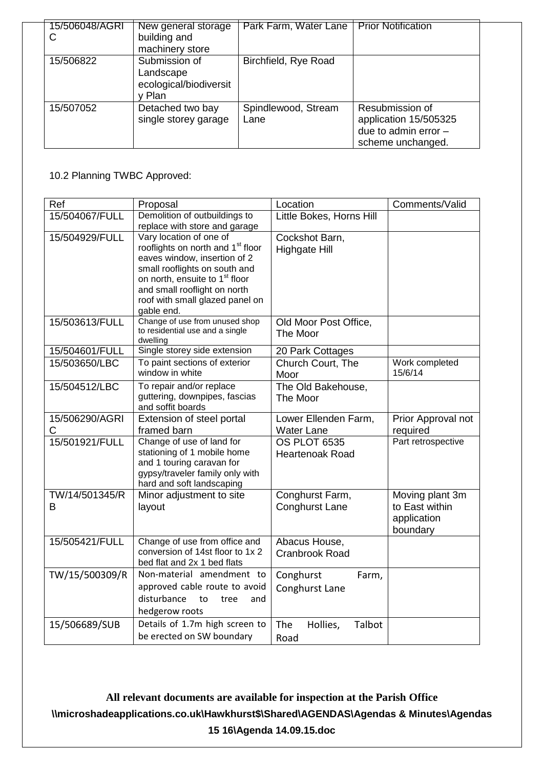| 15/506048/AGRI<br>С | New general storage<br>building and<br>machinery store       | Park Farm, Water Lane       | <b>Prior Notification</b>                                                             |
|---------------------|--------------------------------------------------------------|-----------------------------|---------------------------------------------------------------------------------------|
| 15/506822           | Submission of<br>Landscape<br>ecological/biodiversit<br>Plan | Birchfield, Rye Road        |                                                                                       |
| 15/507052           | Detached two bay<br>single storey garage                     | Spindlewood, Stream<br>Lane | Resubmission of<br>application 15/505325<br>due to admin error -<br>scheme unchanged. |

# 10.2 Planning TWBC Approved:

| Ref            | Proposal                                                                    | Location                  | Comments/Valid            |
|----------------|-----------------------------------------------------------------------------|---------------------------|---------------------------|
| 15/504067/FULL | Demolition of outbuildings to                                               | Little Bokes, Horns Hill  |                           |
|                | replace with store and garage                                               |                           |                           |
| 15/504929/FULL | Vary location of one of                                                     | Cockshot Barn,            |                           |
|                | rooflights on north and 1 <sup>st</sup> floor                               | <b>Highgate Hill</b>      |                           |
|                | eaves window, insertion of 2                                                |                           |                           |
|                | small rooflights on south and<br>on north, ensuite to 1 <sup>st</sup> floor |                           |                           |
|                | and small rooflight on north                                                |                           |                           |
|                | roof with small glazed panel on                                             |                           |                           |
|                | gable end.                                                                  |                           |                           |
| 15/503613/FULL | Change of use from unused shop                                              | Old Moor Post Office,     |                           |
|                | to residential use and a single                                             | The Moor                  |                           |
|                | dwelling                                                                    |                           |                           |
| 15/504601/FULL | Single storey side extension                                                | 20 Park Cottages          |                           |
| 15/503650/LBC  | To paint sections of exterior<br>window in white                            | Church Court, The         | Work completed<br>15/6/14 |
|                |                                                                             | Moor                      |                           |
| 15/504512/LBC  | To repair and/or replace<br>guttering, downpipes, fascias                   | The Old Bakehouse,        |                           |
|                | and soffit boards                                                           | The Moor                  |                           |
| 15/506290/AGRI | Extension of steel portal                                                   | Lower Ellenden Farm,      | Prior Approval not        |
| C              | framed barn                                                                 | <b>Water Lane</b>         | required                  |
| 15/501921/FULL | Change of use of land for                                                   | OS PLOT 6535              | Part retrospective        |
|                | stationing of 1 mobile home                                                 | <b>Heartenoak Road</b>    |                           |
|                | and 1 touring caravan for                                                   |                           |                           |
|                | gypsy/traveler family only with                                             |                           |                           |
|                | hard and soft landscaping                                                   |                           |                           |
| TW/14/501345/R | Minor adjustment to site                                                    | Conghurst Farm,           | Moving plant 3m           |
| B              | layout                                                                      | <b>Conghurst Lane</b>     | to East within            |
|                |                                                                             |                           | application               |
|                |                                                                             |                           | boundary                  |
| 15/505421/FULL | Change of use from office and                                               | Abacus House,             |                           |
|                | conversion of 14st floor to 1x 2<br>bed flat and 2x 1 bed flats             | <b>Cranbrook Road</b>     |                           |
|                | Non-material amendment to                                                   |                           |                           |
| TW/15/500309/R |                                                                             | Conghurst<br>Farm,        |                           |
|                | approved cable route to avoid                                               | Conghurst Lane            |                           |
|                | disturbance<br>to<br>tree<br>and                                            |                           |                           |
|                | hedgerow roots                                                              |                           |                           |
| 15/506689/SUB  | Details of 1.7m high screen to                                              | The<br>Hollies,<br>Talbot |                           |
|                | be erected on SW boundary                                                   | Road                      |                           |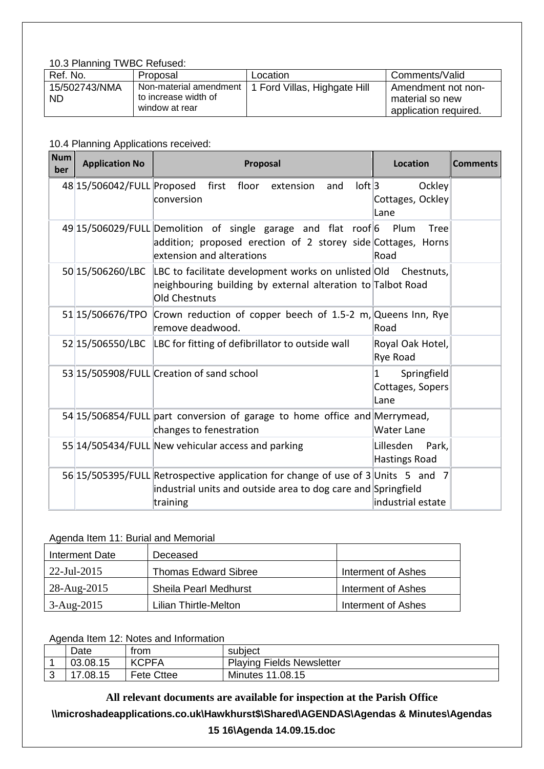#### 10.3 Planning TWBC Refused:

| Ref. No.                   | Proposal                                                         | Location                     | Comments/Valid                                                 |
|----------------------------|------------------------------------------------------------------|------------------------------|----------------------------------------------------------------|
| 15/502743/NMA<br><b>ND</b> | Non-material amendment<br>to increase width of<br>window at rear | 1 Ford Villas, Highgate Hill | Amendment not non-<br>material so new<br>application required. |

#### 10.4 Planning Applications received:

| <b>Num</b><br>ber | <b>Application No</b>      | Proposal                                                                                                                                                      | <b>Location</b>                              | <b>Comments</b> |
|-------------------|----------------------------|---------------------------------------------------------------------------------------------------------------------------------------------------------------|----------------------------------------------|-----------------|
|                   | 48 15/506042/FULL Proposed | $ $ oft $ $ 3<br>floor<br>first<br>extension<br>and                                                                                                           | Ockley                                       |                 |
|                   |                            | conversion                                                                                                                                                    | Cottages, Ockley<br>Lane                     |                 |
|                   |                            | 49 15/506029/FULL Demolition of single garage and flat roof 6<br>addition; proposed erection of 2 storey side Cottages, Horns<br>extension and alterations    | Plum<br>Tree<br>Road                         |                 |
|                   | 50 15/506260/LBC           | LBC to facilitate development works on unlisted Old Chestnuts,<br>neighbouring building by external alteration to Talbot Road<br><b>Old Chestnuts</b>         |                                              |                 |
|                   | 51 15/506676/TPO           | Crown reduction of copper beech of 1.5-2 m, Queens Inn, Rye<br>remove deadwood.                                                                               | Road                                         |                 |
|                   |                            | 52 15/506550/LBC  LBC for fitting of defibrillator to outside wall                                                                                            | Royal Oak Hotel,<br>Rye Road                 |                 |
|                   |                            | 53 15/505908/FULL Creation of sand school                                                                                                                     | Springfield<br>1<br>Cottages, Sopers<br>Lane |                 |
|                   |                            | 54 15/506854/FULL part conversion of garage to home office and Merrymead,<br>changes to fenestration                                                          | Water Lane                                   |                 |
|                   |                            | 55 14/505434/FULL New vehicular access and parking                                                                                                            | Lillesden<br>Park,<br>Hastings Road          |                 |
|                   |                            | 56 15/505395/FULL Retrospective application for change of use of 3 Units 5 and 7<br>industrial units and outside area to dog care and Springfield<br>training | lindustrial estate                           |                 |

# Agenda Item 11: Burial and Memorial

| Interment Date | Deceased                     |                    |
|----------------|------------------------------|--------------------|
| $22$ -Jul-2015 | <b>Thomas Edward Sibree</b>  | Interment of Ashes |
| 28-Aug-2015    | <b>Sheila Pearl Medhurst</b> | Interment of Ashes |
| $3 - Aug-2015$ | Lilian Thirtle-Melton.       | Interment of Ashes |

#### Agenda Item 12: Notes and Information

| Date     | trom              | subject                          |
|----------|-------------------|----------------------------------|
| 03.08.15 | <b>KCPFA</b>      | <b>Playing Fields Newsletter</b> |
| 17.08.15 | <b>Fete Cttee</b> | <b>Minutes 11.08.15</b>          |